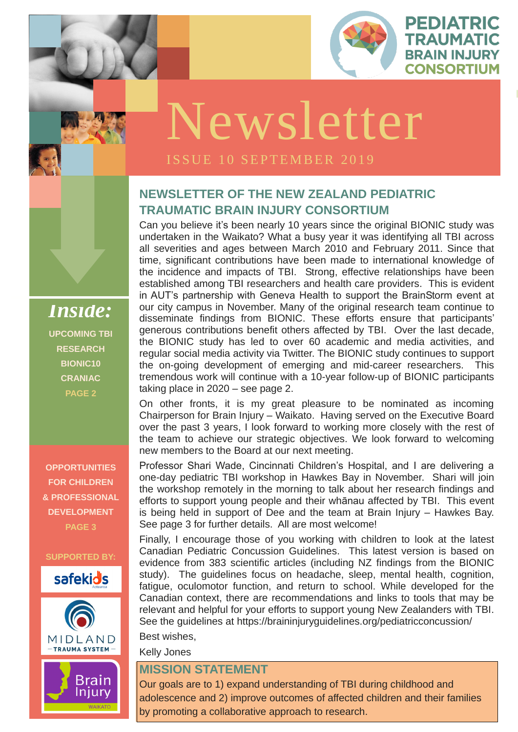

PEDIATRIC

TRAUMATIC

**BRAIN INJURY** 

**ISSUE 1 OCTOBER** 

# **NEWSLETTER OF THE NEW ZEALAND PEDIATRIC TRAUMATIC BRAIN INJURY CONSORTIUM**

Can you believe it's been nearly 10 years since the original BIONIC study was undertaken in the Waikato? What a busy year it was identifying all TBI across all severities and ages between March 2010 and February 2011. Since that time, significant contributions have been made to international knowledge of the incidence and impacts of TBI. Strong, effective relationships have been established among TBI researchers and health care providers. This is evident in AUT's partnership with Geneva Health to support the BrainStorm event at our city campus in November. Many of the original research team continue to disseminate findings from BIONIC. These efforts ensure that participants' generous contributions benefit others affected by TBI. Over the last decade, the BIONIC study has led to over 60 academic and media activities, and regular social media activity via Twitter. The BIONIC study continues to support the on-going development of emerging and mid-career researchers. This tremendous work will continue with a 10-year follow-up of BIONIC participants taking place in 2020 – see page 2.

*LOGO* one-day pediatric TBI workshop in Hawkes Bay in November. Shari will join the workshop remotely in the morning to talk about her research findings and Professor Shari Wade, Cincinnati Children's Hospital, and I are delivering a efforts to support young people and their whānau affected by TBI. This event is being held in support of Dee and the team at Brain Injury – Hawkes Bay. See page 3 for further details. All are most welcome!

On other fronts, it is my great pleasure to be nominated as incoming Chairperson for Brain Injury – Waikato. Having served on the Executive Board over the past 3 years, I look forward to working more closely with the rest of the team to achieve our strategic objectives. We look forward to welcoming new members to the Board at our next meeting.

Finally, I encourage those of you working with children to look at the latest Canadian Pediatric Concussion Guidelines. This latest version is based on

evidence from 383 scientific articles (including NZ findings from the BIONIC study). The guidelines focus on headache, sleep, mental health, cognition, fatigue, oculomotor function, and return to school. While developed for the Canadian context, there are recommendations and links to tools that may be relevant and helpful for your efforts to support young New Zealanders with TBI. See the guidelines at https://braininjuryguidelines.org/pediatricconcussion/

Best wishes,

Kelly Jones

#### **MISSION STATEMENT**

Our goals are to 1) expand understanding of TBI during childhood and adolescence and 2) improve outcomes of affected children and their families by promoting a collaborative approach to research.

*Inside:* **UPCOMING TBI RESEARCH BIONIC10 CRANIAC PAGE 2**

**OPPORTUNITIES FOR CHILDREN & PROFESSIONAL DEVELOPMENT PAGE 3**

#### **SUPPORTED BY:**







# Newsletter

#### ISSUE 10 SEPTEMBER 2019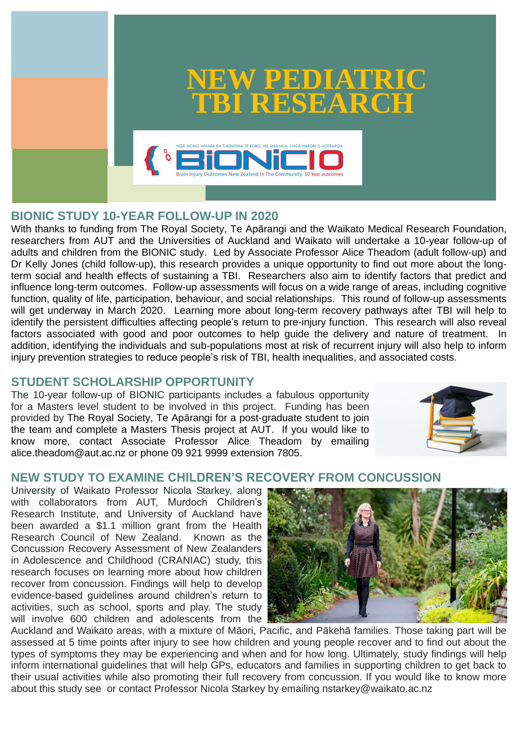## **BIONIC STUDY 10-YEAR FOLLOW-UP IN 2020**

With thanks to funding from The Royal Society, Te Apārangi and the Waikato Medical Research Foundation, researchers from AUT and the Universities of Auckland and Waikato will undertake a 10-year follow-up of adults and children from the BIONIC study. Led by Associate Professor Alice Theadom (adult follow-up) and Dr Kelly Jones (child follow-up), this research provides a unique opportunity to find out more about the longterm social and health effects of sustaining a TBI. Researchers also aim to identify factors that predict and influence long-term outcomes. Follow-up assessments will focus on a wide range of areas, including cognitive function, quality of life, participation, behaviour, and social relationships. This round of follow-up assessments will get underway in March 2020. Learning more about long-term recovery pathways after TBI will help to identify the persistent difficulties affecting people's return to pre-injury function. This research will also reveal factors associated with good and poor outcomes to help guide the delivery and nature of treatment. In addition, identifying the individuals and sub-populations most at risk of recurrent injury will also help to inform injury prevention strategies to reduce people's risk of TBI, health inequalities, and associated costs.

#### **STUDENT SCHOLARSHIP OPPORTUNITY**

The 10-year follow-up of BIONIC participants includes a fabulous opportunity for a Masters level student to be involved in this project. Funding has been provided by The Royal Society, Te Apārangi for a post-graduate student to join the team and complete a Masters Thesis project at AUT. If you would like to know more, contact Associate Professor Alice Theadom by emailing alice.theadom@aut.ac.nz or phone 09 921 9999 extension 7805.



#### **NEW STUDY TO EXAMINE CHILDREN'S RECOVERY FROM CONCUSSION**

University of Waikato Professor Nicola Starkey, along with collaborators from AUT, Murdoch Children's Research Institute, and University of Auckland have been awarded a \$1.1 million grant from the Health Research Council of New Zealand. Known as the Concussion Recovery Assessment of New Zealanders in Adolescence and Childhood (CRANIAC) study, this research focuses on learning more about how children recover from concussion. Findings will help to develop evidence-based guidelines around children's return to activities, such as school, sports and play. The study will involve 600 children and adolescents from the Auckland and Waikato areas, with a mixture of Māori, Pacific, and Pākehā families. Those taking part will be assessed at 5 time points after injury to see how children and young people recover and to find out about the types of symptoms they may be experiencing and when and for how long. Ultimately, study findings will help inform international guidelines that will help GPs, educators and families in supporting children to get back to their usual activities while also promoting their full recovery from concussion. If you would like to know more about this study see or contact Professor Nicola Starkey by emailing nstarkey@waikato.ac.nz